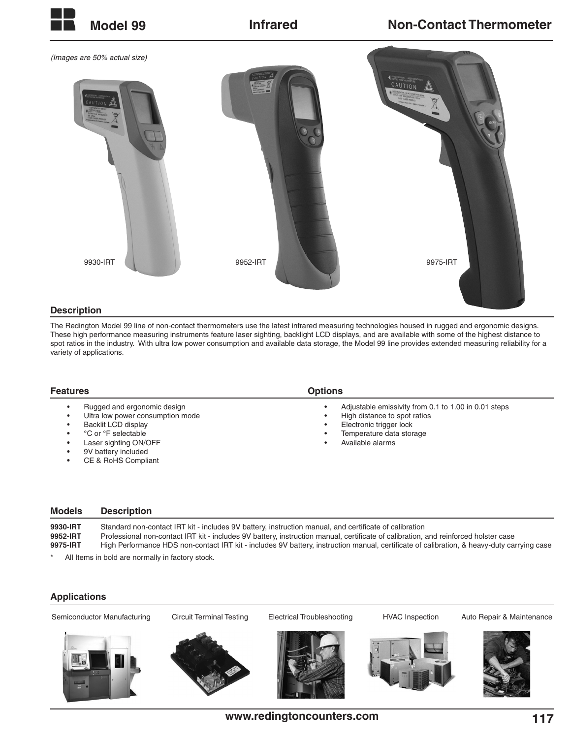

## **Description**

The Redington Model 99 line of non-contact thermometers use the latest infrared measuring technologies housed in rugged and ergonomic designs. These high performance measuring instruments feature laser sighting, backlight LCD displays, and are available with some of the highest distance to spot ratios in the industry. With ultra low power consumption and available data storage, the Model 99 line provides extended measuring reliability for a variety of applications.

| <b>Features</b>                                                                                                                                                                      | <b>Options</b>                                                                                                                                                  |
|--------------------------------------------------------------------------------------------------------------------------------------------------------------------------------------|-----------------------------------------------------------------------------------------------------------------------------------------------------------------|
| Rugged and ergonomic design<br>Ultra low power consumption mode<br>Backlit LCD display<br>°C or °F selectable<br>Laser sighting ON/OFF<br>9V battery included<br>CE & RoHS Compliant | Adjustable emissivity from 0.1 to 1.00 in 0.01 steps<br>High distance to spot ratios<br>Electronic trigger lock<br>Temperature data storage<br>Available alarms |

| <b>Models</b>                    | <b>Description</b>                                                                                                                                                                                                                                                                                                                                                                          |
|----------------------------------|---------------------------------------------------------------------------------------------------------------------------------------------------------------------------------------------------------------------------------------------------------------------------------------------------------------------------------------------------------------------------------------------|
| 9930-IRT<br>9952-IRT<br>9975-IRT | Standard non-contact IRT kit - includes 9V battery, instruction manual, and certificate of calibration<br>Professional non-contact IRT kit - includes 9V battery, instruction manual, certificate of calibration, and reinforced holster case<br>High Performance HDS non-contact IRT kit - includes 9V battery, instruction manual, certificate of calibration, & heavy-duty carrying case |
|                                  |                                                                                                                                                                                                                                                                                                                                                                                             |

All Items in bold are normally in factory stock.

## **Applications**

Semiconductor Manufacturing Circuit Terminal Testing Electrical Troubleshooting HVAC Inspection Auto Repair & Maintenance